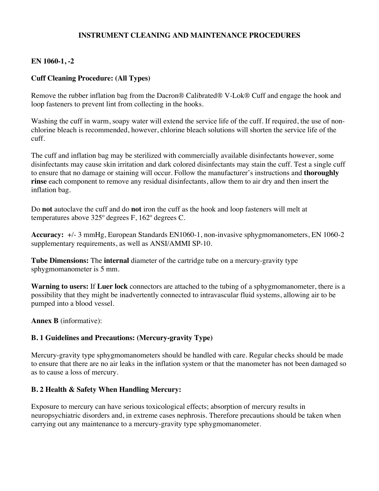### **INSTRUMENT CLEANING AND MAINTENANCE PROCEDURES**

### **EN 1060-1, -2**

### **Cuff Cleaning Procedure: (All Types)**

Remove the rubber inflation bag from the Dacron® Calibrated® V-Lok® Cuff and engage the hook and loop fasteners to prevent lint from collecting in the hooks.

Washing the cuff in warm, soapy water will extend the service life of the cuff. If required, the use of nonchlorine bleach is recommended, however, chlorine bleach solutions will shorten the service life of the cuff.

The cuff and inflation bag may be sterilized with commercially available disinfectants however, some disinfectants may cause skin irritation and dark colored disinfectants may stain the cuff. Test a single cuff to ensure that no damage or staining will occur. Follow the manufacturer's instructions and **thoroughly rinse** each component to remove any residual disinfectants, allow them to air dry and then insert the inflation bag.

Do **not** autoclave the cuff and do **not** iron the cuff as the hook and loop fasteners will melt at temperatures above 325º degrees F, 162º degrees C.

**Accuracy:** +/- 3 mmHg, European Standards EN1060-1, non-invasive sphygmomanometers, EN 1060-2 supplementary requirements, as well as ANSI/AMMI SP-10.

**Tube Dimensions:** The **internal** diameter of the cartridge tube on a mercury-gravity type sphygmomanometer is 5 mm.

**Warning to users:** If **Luer lock** connectors are attached to the tubing of a sphygmomanometer, there is a possibility that they might be inadvertently connected to intravascular fluid systems, allowing air to be pumped into a blood vessel.

**Annex B** (informative):

#### **B. 1 Guidelines and Precautions: (Mercury-gravity Type)**

Mercury-gravity type sphygmomanometers should be handled with care. Regular checks should be made to ensure that there are no air leaks in the inflation system or that the manometer has not been damaged so as to cause a loss of mercury.

#### **B. 2 Health & Safety When Handling Mercury:**

Exposure to mercury can have serious toxicological effects; absorption of mercury results in neuropsychiatric disorders and, in extreme cases nephrosis. Therefore precautions should be taken when carrying out any maintenance to a mercury-gravity type sphygmomanometer.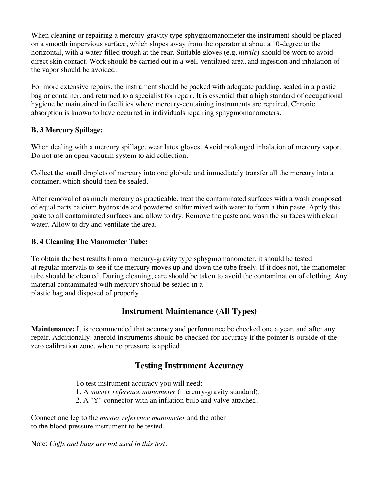When cleaning or repairing a mercury-gravity type sphygmomanometer the instrument should be placed on a smooth impervious surface, which slopes away from the operator at about a 10-degree to the horizontal, with a water-filled trough at the rear. Suitable gloves (e.g. *nitrile*) should be worn to avoid direct skin contact. Work should be carried out in a well-ventilated area, and ingestion and inhalation of the vapor should be avoided.

For more extensive repairs, the instrument should be packed with adequate padding, sealed in a plastic bag or container, and returned to a specialist for repair. It is essential that a high standard of occupational hygiene be maintained in facilities where mercury-containing instruments are repaired. Chronic absorption is known to have occurred in individuals repairing sphygmomanometers.

## **B. 3 Mercury Spillage:**

When dealing with a mercury spillage, wear latex gloves. Avoid prolonged inhalation of mercury vapor. Do not use an open vacuum system to aid collection.

Collect the small droplets of mercury into one globule and immediately transfer all the mercury into a container, which should then be sealed.

After removal of as much mercury as practicable, treat the contaminated surfaces with a wash composed of equal parts calcium hydroxide and powdered sulfur mixed with water to form a thin paste. Apply this paste to all contaminated surfaces and allow to dry. Remove the paste and wash the surfaces with clean water. Allow to dry and ventilate the area.

## **B. 4 Cleaning The Manometer Tube:**

To obtain the best results from a mercury-gravity type sphygmomanometer, it should be tested at regular intervals to see if the mercury moves up and down the tube freely. If it does not, the manometer tube should be cleaned. During cleaning, care should be taken to avoid the contamination of clothing. Any material contaminated with mercury should be sealed in a plastic bag and disposed of properly.

# **Instrument Maintenance (All Types)**

**Maintenance:** It is recommended that accuracy and performance be checked one a year, and after any repair. Additionally, aneroid instruments should be checked for accuracy if the pointer is outside of the zero calibration zone, when no pressure is applied.

# **Testing Instrument Accuracy**

To test instrument accuracy you will need:

1. A *master reference manometer* (mercury-gravity standard).

2. A "Y" connector with an inflation bulb and valve attached.

Connect one leg to the *master reference manometer* and the other to the blood pressure instrument to be tested.

Note: *Cuffs and bags are not used in this test.*